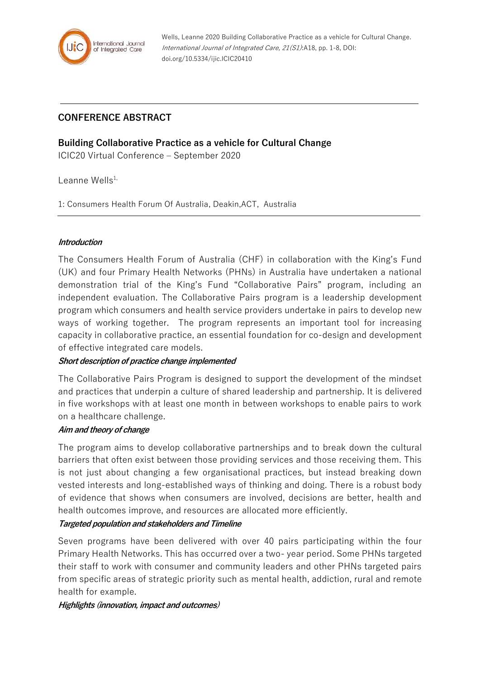

Wells, Leanne 2020 Building Collaborative Practice as a vehicle for Cultural Change. International Journal of Integrated Care, 21(S1):A18, pp. 1-8, DOI: doi.org/10.5334/ijic.ICIC20410

# **CONFERENCE ABSTRACT**

## **Building Collaborative Practice as a vehicle for Cultural Change**

ICIC20 Virtual Conference – September 2020

Leanne Wells $1$ ,

1: Consumers Health Forum Of Australia, Deakin,ACT, Australia

#### **Introduction**

The Consumers Health Forum of Australia (CHF) in collaboration with the King's Fund (UK) and four Primary Health Networks (PHNs) in Australia have undertaken a national demonstration trial of the King's Fund "Collaborative Pairs" program, including an independent evaluation. The Collaborative Pairs program is a leadership development program which consumers and health service providers undertake in pairs to develop new ways of working together. The program represents an important tool for increasing capacity in collaborative practice, an essential foundation for co-design and development of effective integrated care models.

## **Short description of practice change implemented**

The Collaborative Pairs Program is designed to support the development of the mindset and practices that underpin a culture of shared leadership and partnership. It is delivered in five workshops with at least one month in between workshops to enable pairs to work on a healthcare challenge.

#### **Aim and theory of change**

The program aims to develop collaborative partnerships and to break down the cultural barriers that often exist between those providing services and those receiving them. This is not just about changing a few organisational practices, but instead breaking down vested interests and long-established ways of thinking and doing. There is a robust body of evidence that shows when consumers are involved, decisions are better, health and health outcomes improve, and resources are allocated more efficiently.

#### **Targeted population and stakeholders and Timeline**

Seven programs have been delivered with over 40 pairs participating within the four Primary Health Networks. This has occurred over a two- year period. Some PHNs targeted their staff to work with consumer and community leaders and other PHNs targeted pairs from specific areas of strategic priority such as mental health, addiction, rural and remote health for example.

**Highlights (innovation, impact and outcomes)**